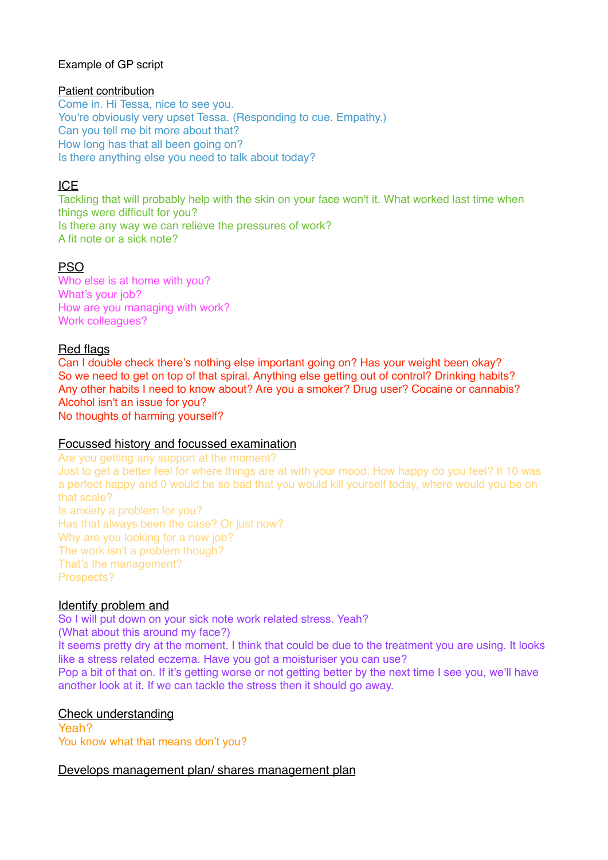### Example of GP script

#### Patient contribution

Come in. Hi Tessa, nice to see you. You're obviously very upset Tessa. (Responding to cue. Empathy.) Can you tell me bit more about that? How long has that all been going on? Is there anything else you need to talk about today?

# ICE

Tackling that will probably help with the skin on your face won't it. What worked last time when things were difficult for you? Is there any way we can relieve the pressures of work? A fit note or a sick note?

# **PSO**

Who else is at home with you? What's your job? How are you managing with work? Work colleagues?

## Red flags

Can I double check there's nothing else important going on? Has your weight been okay? So we need to get on top of that spiral. Anything else getting out of control? Drinking habits? Any other habits I need to know about? Are you a smoker? Drug user? Cocaine or cannabis? Alcohol isn't an issue for you? No thoughts of harming yourself?

### Focussed history and focussed examination

Are you getting any support at the moment? Just to get a better feel for where things are at with your mood: How happy do you feel? If 10 was a perfect happy and 0 would be so bad that you would kill yourself today, where would you be on that scale? Is anxiety a problem for you? Has that always been the case? Or just now? Why are you looking for a new job? The work isn't a problem though? That's the management? Prospects?

### Identify problem and

So I will put down on your sick note work related stress. Yeah? (What about this around my face?) It seems pretty dry at the moment. I think that could be due to the treatment you are using. It looks like a stress related eczema. Have you got a moisturiser you can use?

Pop a bit of that on. If it's getting worse or not getting better by the next time I see you, we'll have another look at it. If we can tackle the stress then it should go away.

Check understanding

Yeah? You know what that means don't you?

### Develops management plan/ shares management plan